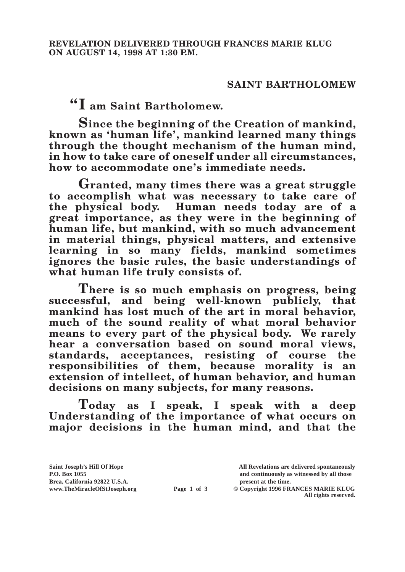## **SAINT BARTHOLOMEW**

**"I am Saint Bartholomew.**

**Since the beginning of the Creation of mankind, known as 'human life', mankind learned many things through the thought mechanism of the human mind, in how to take care of oneself under all circumstances, how to accommodate one's immediate needs.**

**Granted, many times there was a great struggle to accomplish what was necessary to take care of the physical body. Human needs today are of a great importance, as they were in the beginning of human life, but mankind, with so much advancement in material things, physical matters, and extensive learning in so many fields, mankind sometimes ignores the basic rules, the basic understandings of what human life truly consists of.**

**There is so much emphasis on progress, being successful, and being well-known publicly, that mankind has lost much of the art in moral behavior, much of the sound reality of what moral behavior means to every part of the physical body. We rarely hear a conversation based on sound moral views, standards, acceptances, resisting of course the responsibilities of them, because morality is an extension of intellect, of human behavior, and human decisions on many subjects, for many reasons.**

**Today as I speak, I speak with a deep Understanding of the importance of what occurs on major decisions in the human mind, and that the** 

Brea, California 92822 U.S.A.<br>
www.TheMiracleOfStJoseph.org<br> **Page 1 of 3** © Copyright 1996 FR.

**Saint Joseph's Hill Of Hope All Revelations are delivered spontaneously P.O. Box 1055 and continuously as witnessed by all those** 

**Page 1 of 3** © Copyright 1996 FRANCES MARIE KLUG **All rights reserved.**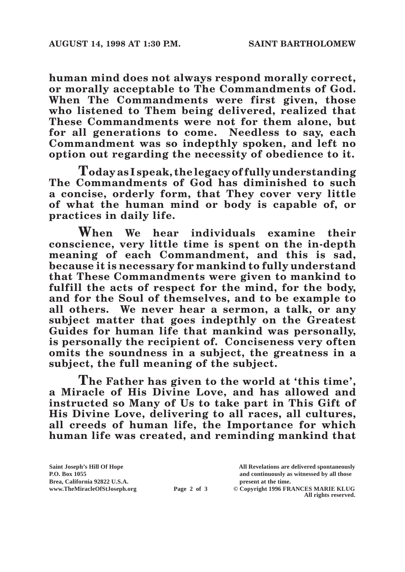**human mind does not always respond morally correct, or morally acceptable to The Commandments of God. When The Commandments were first given, those who listened to Them being delivered, realized that These Commandments were not for them alone, but for all generations to come. Needless to say, each Commandment was so indepthly spoken, and left no option out regarding the necessity of obedience to it.**

**Today as I speak, the legacy of fully understanding The Commandments of God has diminished to such a concise, orderly form, that They cover very little of what the human mind or body is capable of, or practices in daily life.**

**When We hear individuals examine their conscience, very little time is spent on the in-depth meaning of each Commandment, and this is sad, because it is necessary for mankind to fully understand that These Commandments were given to mankind to fulfill the acts of respect for the mind, for the body, and for the Soul of themselves, and to be example to all others. We never hear a sermon, a talk, or any subject matter that goes indepthly on the Greatest Guides for human life that mankind was personally, is personally the recipient of. Conciseness very often omits the soundness in a subject, the greatness in a subject, the full meaning of the subject.**

**The Father has given to the world at 'this time', a Miracle of His Divine Love, and has allowed and instructed so Many of Us to take part in This Gift of His Divine Love, delivering to all races, all cultures, all creeds of human life, the Importance for which human life was created, and reminding mankind that** 

**All rights reserved.**